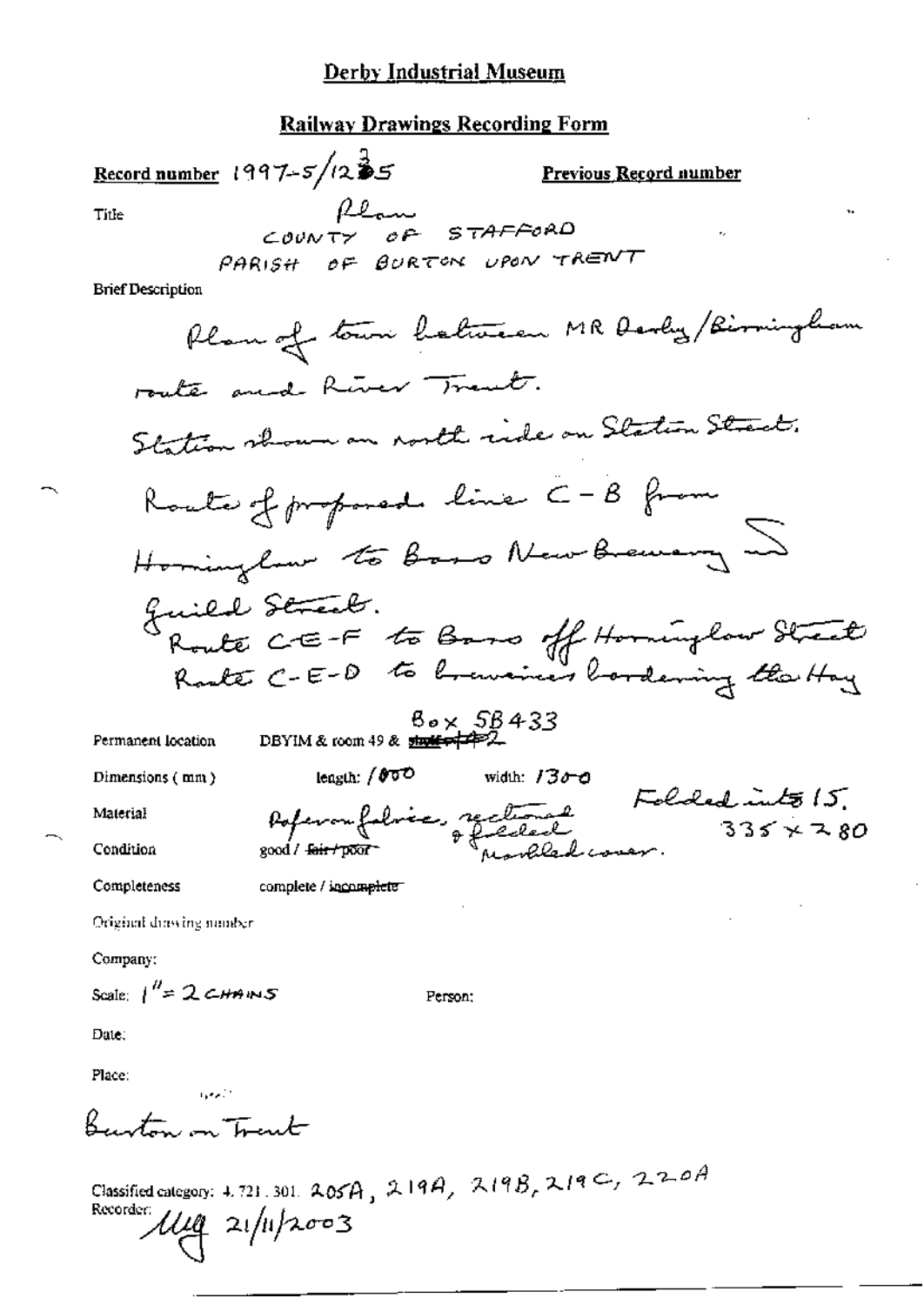#### **Railway Drawings Recording Form**

Record number 1997- $5/12$ 35 Previous Record number Plan<br>COUNTY OF STAFFORD<br>PARISH OF BURTON UPON TRENT Title

**Brief Description** 

 $B_{\sigma} \times 5B433$  DBYIM & room 49 &  $\frac{1}{2}$ 

Dimensions (mm)

Permanent location

width:  $1300$ leagth:  $/800$ Poperonfoloire, reclament Folded into 15.<br>pod four poor

Person;

Material

Condition

Completeness

complete / incomplete

good / fair / poor

Original drawing number

Company:

Scale:  $1^{\prime\prime}=2$  CHAINS

Date:

Place:

Burton on Trent

التوارد

Classified category: 4.721.301.  $205A$ ,  $219A$ ,  $219B$ ,  $219C$ ,  $220A$ <br>Recorder:  $11.6$   $21.6$  $\frac{1}{4}$  21/11/2003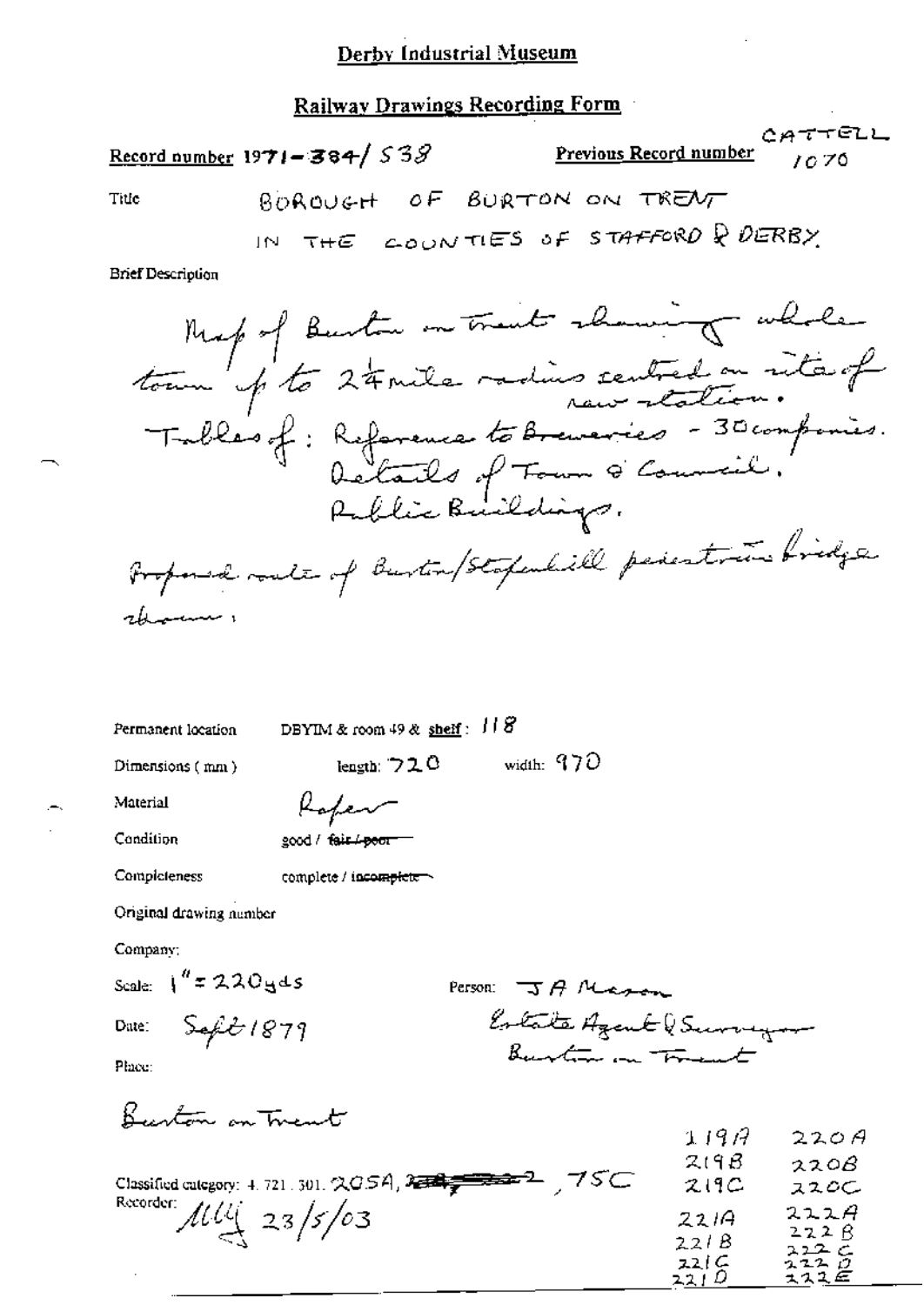Railway Drawings Recording Form

|                          | CATTELL<br><b>Previous Record number</b><br>Record number 1971-384/538<br>1070 |
|--------------------------|--------------------------------------------------------------------------------|
| Title                    | BOROVEH OF BURTON ON TRENT                                                     |
|                          | IN THE COUNTIES OF STAFFORD & DERBY                                            |
| <b>Brief Description</b> |                                                                                |

Permanent location DBYIM & room 49 & shelf:  $118$ 

Dimensions (mm)

length:  $720$  width:  $970$ 

Material

Ξ.

| Rafer              |  |
|--------------------|--|
|                    |  |
| good / fair / poor |  |

 $\theta$ 

Condition

Completeness

complete / incomplete

Original drawing number

Company:

Scale:  $\int_0^R z 220yds$ 

Date:  $SefE1879$ 

Person: JA Mason Estate Azent (Surveyor

Place:

Burton on Trent

|                                                                                                                        | 119A         | 220A         |
|------------------------------------------------------------------------------------------------------------------------|--------------|--------------|
|                                                                                                                        | 219B         | 220B         |
| 75C<br>Classified category: 4, 721, 301, $\triangle QSA$ , $\triangle$ $\triangle$ $\triangle$ $\triangle$ $\triangle$ | 219C         | ススロー         |
| Recorder: $\mu u_2$ 23/5/03                                                                                            | 221A         | 222A         |
|                                                                                                                        | 221B         | 222B<br>212C |
|                                                                                                                        | 221C<br>2214 | 2220<br>スススピ |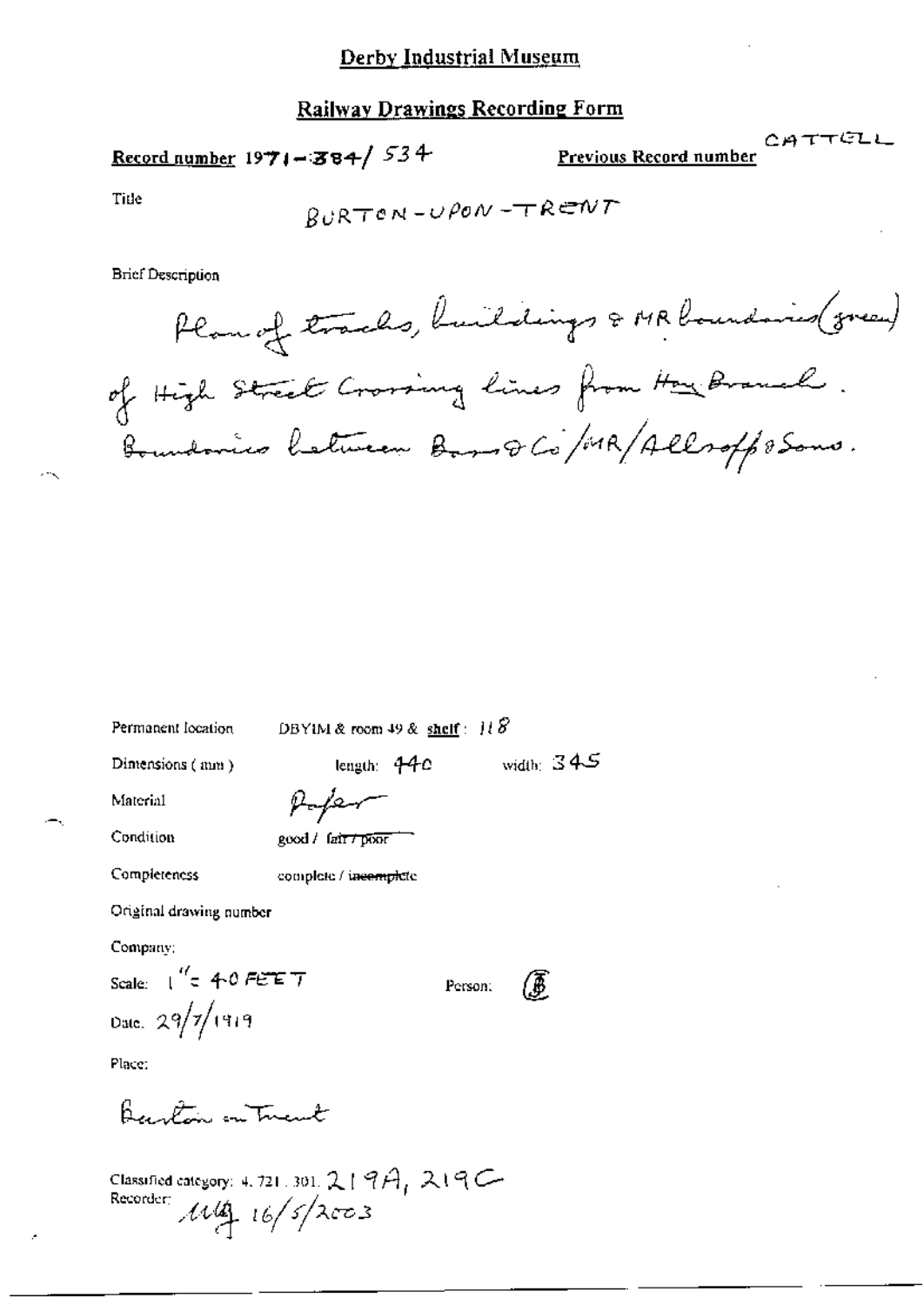## Railway Drawings Recording Form

Record number  $1971 - 384 / 534$ 

CATTELL Previous Record number

Title

$$
\beta \cup \mathsf{RT} \circ \mathsf{N} \mathbin{-} \cup \mathsf{POV} \mathbin{-} \mathsf{TR} \mathsf{CIV} \mathsf{T}
$$

**Brief Description** 

DBYIM & room 49 & shelf:  $118$ 

Dimensions (mm)

width:  $345$ length:  $44c$ 

Person:

Material

μ

Condition

Completeness

|  | good / fair / poor |
|--|--------------------|
|--|--------------------|

complete / incemplete

Original drawing number

Company;

Scale:  $\int_{0}^{t'}$  = 40 FET T Date:  $29/7/1919$ 

Place:

Barton on Tuent

Classified category: 4.721.301. 219A, 219C-<br>Recorder:  $\mathcal{M}_{\underbrace{4}_{1}}^{4}$  16/5/2003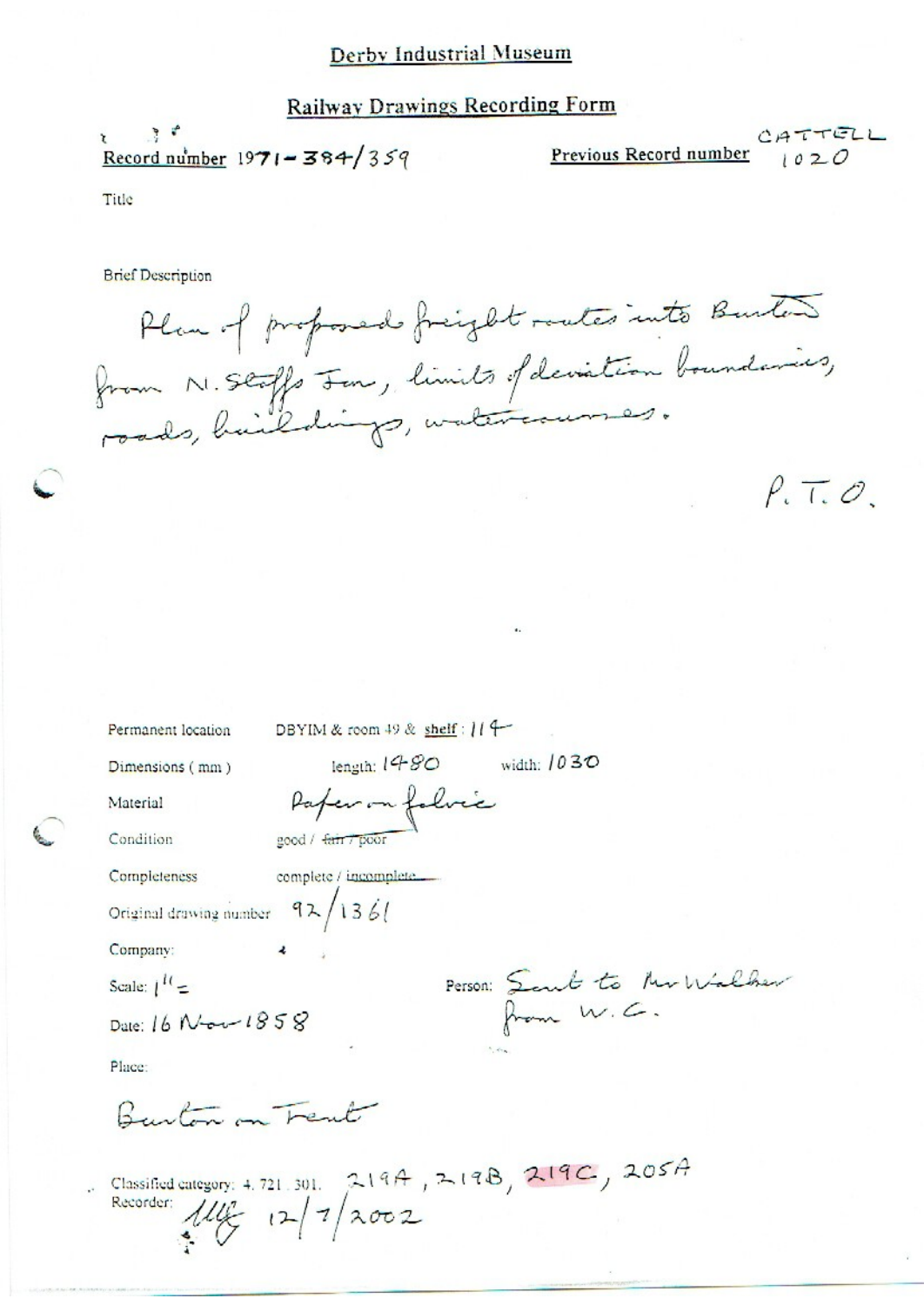## **Railway Drawings Recording Form**

 $\mathcal{F}$  $\mathbf{r}$ Record number  $1971 - 384/359$ 

CATTELL Previous Record number  $1020$ 

Title

**Brief Description** 

Plan of proposed freight routes into Burton from N. Stoffs Jon, limits of deviation boundaries,

 $P.T.O.$ 

| Permanent location               | DBYIM & room 49 & shelf : $119$                                                                |
|----------------------------------|------------------------------------------------------------------------------------------------|
| Dimensions (mm)                  | width: $1030$<br>length: $1480$                                                                |
| Material                         | Paper on folice                                                                                |
| Condition                        | good / fair / poor                                                                             |
| Completeness                     |                                                                                                |
| Original drawing number $92/136$ |                                                                                                |
| Company:                         | $\overline{\mathbf{z}}$                                                                        |
| Scale: $1^{11}$ =                | Person: Sant to Mr Walker                                                                      |
| Date: 16 Nov 1858                |                                                                                                |
| Place:                           | $\mathcal{F}_1$ , where                                                                        |
| Rustin m Feut                    |                                                                                                |
|                                  | Classified category: 4.721.301. 219A, 219B, 219C, 205A<br>Recorder: $\frac{112}{1}$ $(2/3002)$ |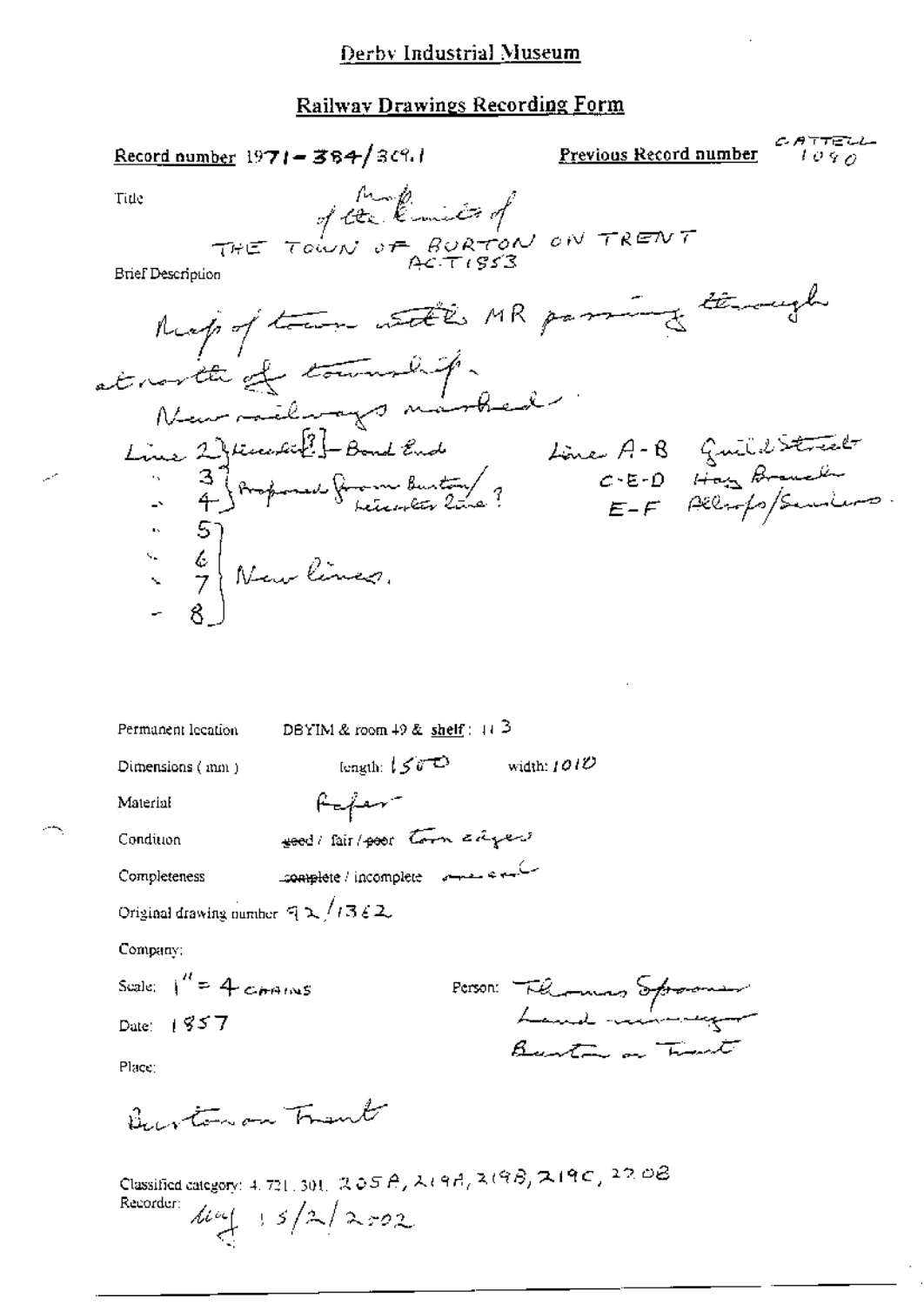| $\frac{\text{Record number}}{1971 - 384}$ 34%                                                                | <u>Previous Record number</u><br>1 V Y 77 |
|--------------------------------------------------------------------------------------------------------------|-------------------------------------------|
| THE TOWN OF BURTON ON TRENT<br>Tide                                                                          |                                           |
|                                                                                                              |                                           |
| <b>Brief Description</b>                                                                                     |                                           |
| Respectful with MR passing thereigh                                                                          |                                           |
| at north of township.                                                                                        |                                           |
|                                                                                                              |                                           |
| Neur militarys marbed<br>Line 2) teacher Bond End Li<br>- 4) Ampouse from Buty ?<br>- 4) Ampouse from Buty ? | Line A-B Guild Street                     |
|                                                                                                              | $E-F$ Allrops/Seminors                    |
| $\begin{bmatrix} . & 5 \\ . & 6 \\ . & 7 \end{bmatrix}$ Neurlines.                                           |                                           |
|                                                                                                              |                                           |
|                                                                                                              |                                           |
|                                                                                                              |                                           |
|                                                                                                              |                                           |
| DBYIM & room $49$ & shelf : $113$<br>Permanent lecation                                                      |                                           |
| length: $150^\circ$<br>Dimensions (mm)                                                                       | width: $101U$                             |
| $H = \frac{1}{2}$<br>Material<br>good / fair / poor town adject<br>Condition                                 |                                           |
| Complete / incomplete and a sub-<br>Completeness                                                             |                                           |
| Original drawing number $\sqrt{72}/7362$ .                                                                   |                                           |
| Company:                                                                                                     |                                           |
| Scale: $1'' = 4$ commons                                                                                     |                                           |
| Date: $1857$                                                                                                 | Person: Florences Sproons                 |
| Place:                                                                                                       | Burton on Timet                           |
| Burtonon Trent                                                                                               |                                           |
| Classified category: 4, 721, 301, 205A, 219A, 219B, 219C, 220B<br>Recorder:                                  |                                           |
| $\frac{1}{2}$ 15/2/202                                                                                       |                                           |

∽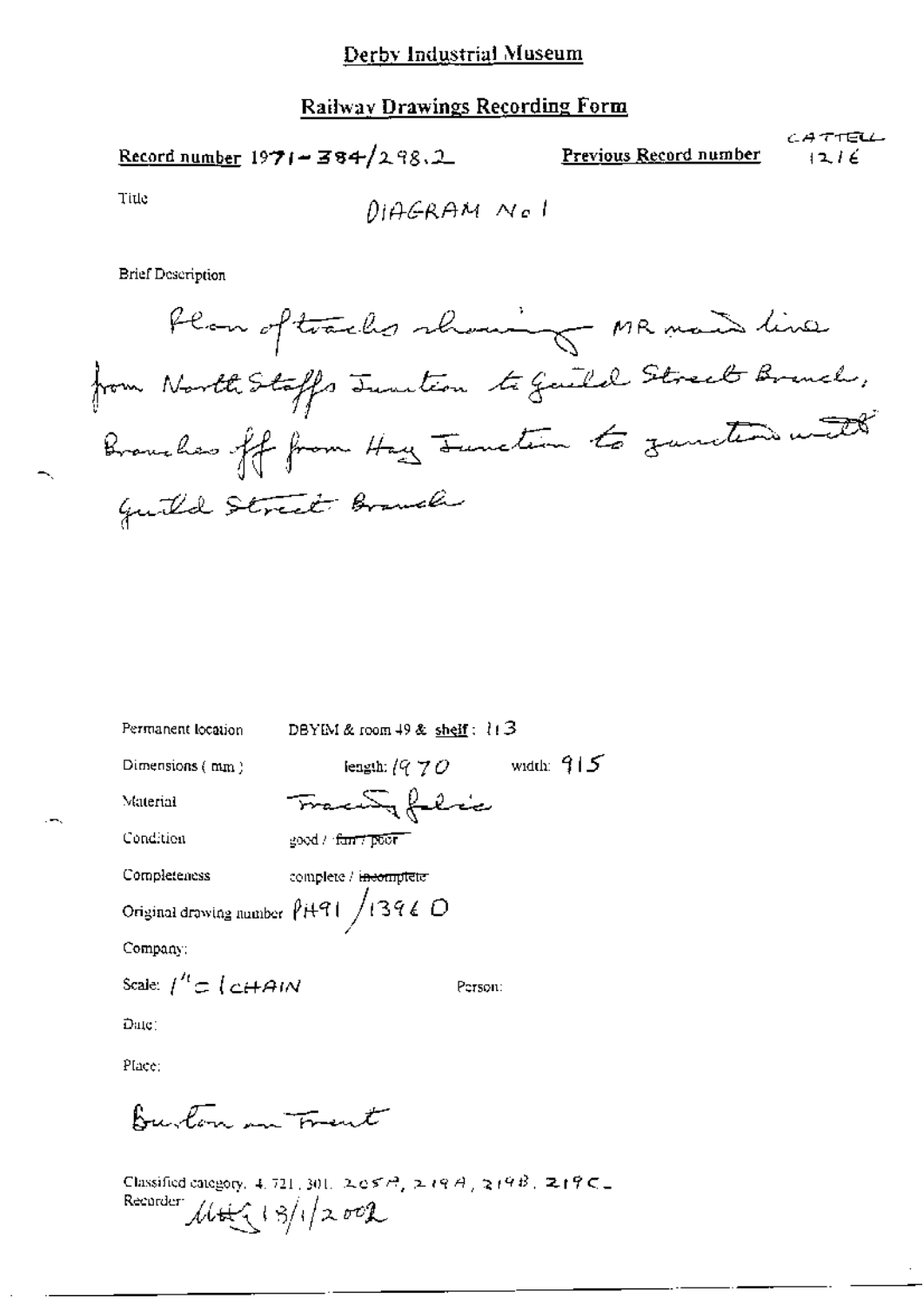CATTELL Record number  $1971 - 384/298.2$ Previous Record number  $1216$ 

Title

**Brief Description** 

Plan of tracks showing MR mand line from North Stoffs Juntion to Guild Street Brench, Branches off from Hay Junction to zunction with Guild Street Branch

| Permanent location                          | DBYIM & room $49$ & shelf: $113$  |              |  |
|---------------------------------------------|-----------------------------------|--------------|--|
| Dimensions $(mm)$                           | iength: $\ell$ 9 $7$ $O$          | width: $915$ |  |
| Material                                    | FrancuSy felice                   |              |  |
| Condition                                   | good / fan't poor                 |              |  |
| Completeness                                | complete / i <del>ncomplete</del> |              |  |
| Original drawing number $\sqrt{H91}/1396$ O |                                   |              |  |
| Company:                                    |                                   |              |  |
| Scale: $\int'' c \int c \hat{H} A/N$        |                                   | Person:      |  |
| <u> Әще:</u>                                |                                   |              |  |
|                                             |                                   |              |  |

Place:

Burton in Frent

Classified category, 4, 721, 301, 2, e 579, 2 19 A, 219 B, 219 C = Recorder  $\mathcal{M}(\sqrt{3})/2002$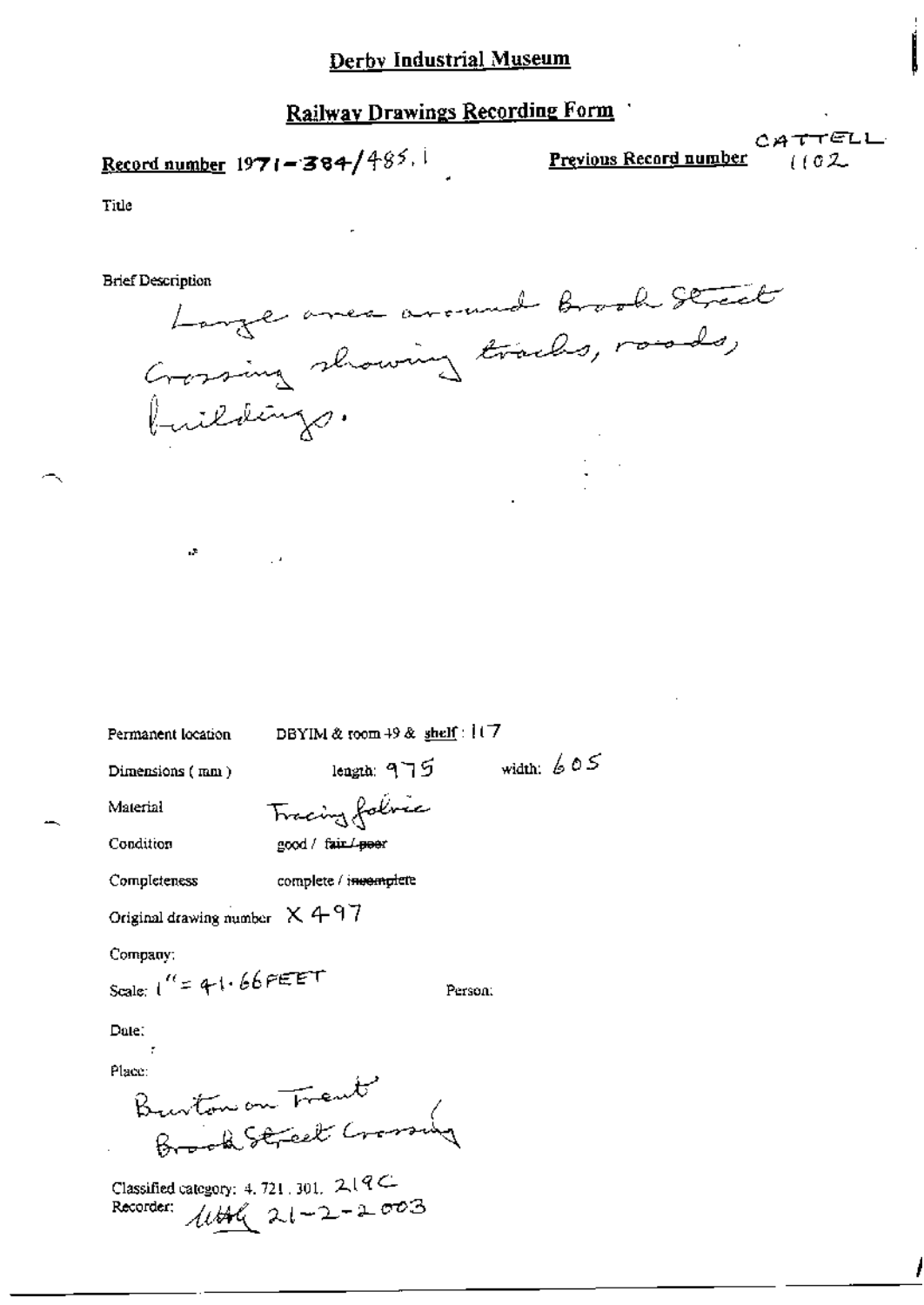# Record number 1971-384/485.

Previous Record number

CATTELL  $(102$ 

Title

**Brief Description** 

Large avec around brook Street

Permanent location

цÞ

DBYIM & room 49 & shelf: 117

Dimensions (mm)

width:  $605$ length: 975

Material

Tracing folice

Condition

good / fair / poer

Completeness complete / invemplete

Original drawing number  $X497$ 

Company:

Scale:  $1'' = 41.66$  PEET

Person:

Date:

Place:

Burton on Trent Erook Street Crossing

Classified category: 4, 721, 301,  $219C$ Recorder:  $1046$  21-2-2003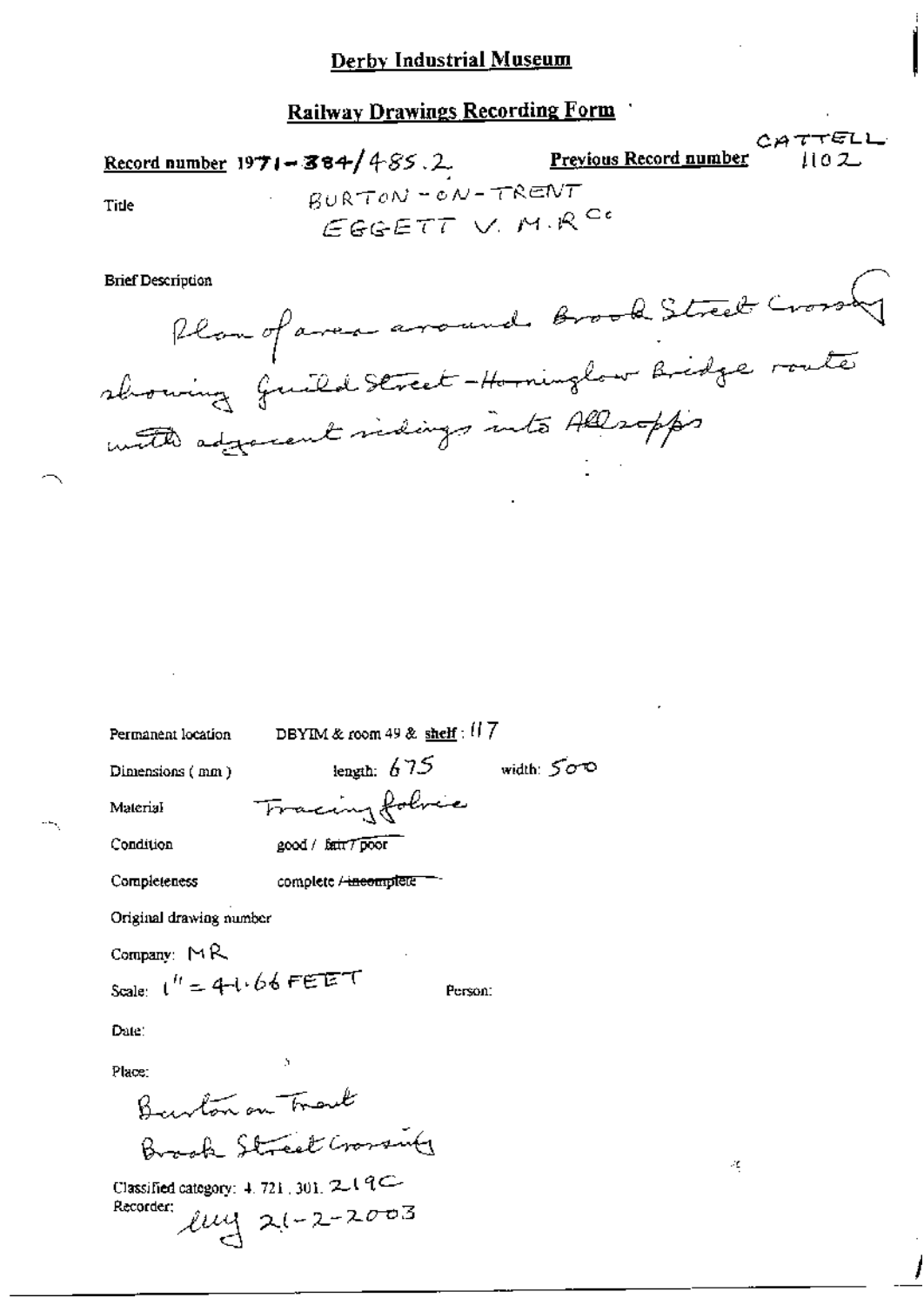| <b>Record number 1971 - 384/485.2.</b> | CATTELL<br><u>Previous Record number</u><br>1102       |
|----------------------------------------|--------------------------------------------------------|
| Title                                  | $BURTON = ON - TRENT$<br>$EGGETT$ V. M.R <sup>C.</sup> |
|                                        |                                                        |

Plan of avec avound brook Street Cross with adjacent vidings into Allsopps

Permanent location

DBYIM & room 49 & shelf :  $117$ 

Dimensions (mm)

**Brief Description** 

length:  $675$  width:  $500$ Tracing folice

Person:

Condition

Material

good / fair 7 poor

complete / incomplete Completeness

Original drawing number

Company:  $M$ R

Scale:  $t'' = 4-t.66$ FEET

Date:

Place:

Barbon on Track Brash Street Crosswith

Classified category: 4, 721, 301, 2019 Recorder:  $2u + 2-2003$  Æ